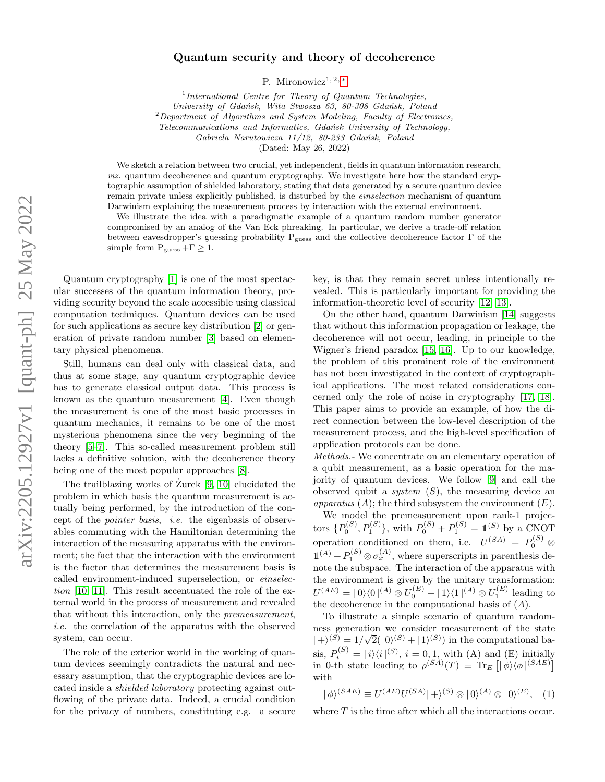## Quantum security and theory of decoherence

P. Mironowicz<sup>1, 2, [∗](#page-3-0)</sup>

<sup>1</sup>International Centre for Theory of Quantum Technologies, University of Gdańsk, Wita Stwosza 63, 80-308 Gdańsk, Poland  $2$ Department of Algorithms and System Modeling, Faculty of Electronics, Telecommunications and Informatics, Gdańsk University of Technology, Gabriela Narutowicza 11/12, 80-233 Gdańsk, Poland

(Dated: May 26, 2022)

We sketch a relation between two crucial, yet independent, fields in quantum information research, viz. quantum decoherence and quantum cryptography. We investigate here how the standard cryptographic assumption of shielded laboratory, stating that data generated by a secure quantum device remain private unless explicitly published, is disturbed by the einselection mechanism of quantum Darwinism explaining the measurement process by interaction with the external environment.

We illustrate the idea with a paradigmatic example of a quantum random number generator compromised by an analog of the Van Eck phreaking. In particular, we derive a trade-off relation between eavesdropper's guessing probability Pguess and the collective decoherence factor Γ of the simple form  $P_{\text{guess}} + \Gamma \geq 1$ .

Quantum cryptography [\[1\]](#page-3-1) is one of the most spectacular successes of the quantum information theory, providing security beyond the scale accessible using classical computation techniques. Quantum devices can be used for such applications as secure key distribution [\[2\]](#page-3-2) or generation of private random number [\[3\]](#page-3-3) based on elementary physical phenomena.

Still, humans can deal only with classical data, and thus at some stage, any quantum cryptographic device has to generate classical output data. This process is known as the quantum measurement [\[4\]](#page-4-0). Even though the measurement is one of the most basic processes in quantum mechanics, it remains to be one of the most mysterious phenomena since the very beginning of the theory [\[5–](#page-4-1)[7\]](#page-4-2). This so-called measurement problem still lacks a definitive solution, with the decoherence theory being one of the most popular approaches [\[8\]](#page-4-3).

The trailblazing works of  $\text{Zurek}$  [\[9,](#page-4-4) [10\]](#page-4-5) elucidated the problem in which basis the quantum measurement is actually being performed, by the introduction of the concept of the pointer basis, i.e. the eigenbasis of observables commuting with the Hamiltonian determining the interaction of the measuring apparatus with the environment; the fact that the interaction with the environment is the factor that determines the measurement basis is called environment-induced superselection, or einselection [\[10,](#page-4-5) [11\]](#page-4-6). This result accentuated the role of the external world in the process of measurement and revealed that without this interaction, only the premeasurement, i.e. the correlation of the apparatus with the observed system, can occur.

The role of the exterior world in the working of quantum devices seemingly contradicts the natural and necessary assumption, that the cryptographic devices are located inside a shielded laboratory protecting against outflowing of the private data. Indeed, a crucial condition for the privacy of numbers, constituting e.g. a secure

key, is that they remain secret unless intentionally revealed. This is particularly important for providing the information-theoretic level of security [\[12,](#page-4-7) [13\]](#page-4-8).

On the other hand, quantum Darwinism [\[14\]](#page-4-9) suggests that without this information propagation or leakage, the decoherence will not occur, leading, in principle to the Wigner's friend paradox [\[15,](#page-4-10) [16\]](#page-4-11). Up to our knowledge, the problem of this prominent role of the environment has not been investigated in the context of cryptographical applications. The most related considerations concerned only the role of noise in cryptography [\[17,](#page-4-12) [18\]](#page-4-13). This paper aims to provide an example, of how the direct connection between the low-level description of the measurement process, and the high-level specification of application protocols can be done.

Methods.- We concentrate on an elementary operation of a qubit measurement, as a basic operation for the majority of quantum devices. We follow [\[9\]](#page-4-4) and call the observed qubit a *system*  $(S)$ , the measuring device an apparatus  $(A)$ ; the third subsystem the environment  $(E)$ .

We model the premeasurement upon rank-1 projectors  $\{P_0^{(S)}, P_1^{(S)}\}$ , with  $P_0^{(S)} + P_1^{(S)} = 1\!\!1^{(S)}$  by a CNOT operation conditioned on them, i.e.  $U^{(SA)} = P_0^{(S)}$   $\otimes$  $\mathbb{1}^{(A)} + P_1^{(S)} \otimes \sigma_x^{(A)}$ , where superscripts in parenthesis denote the subspace. The interaction of the apparatus with the environment is given by the unitary transformation:  $U^{(AE)} = |0\rangle\langle 0|^{(A)} \otimes U_0^{(E)} + |1\rangle\langle 1|^{(A)} \otimes U_1^{(E)}$  leading to the decoherence in the computational basis of  $(A)$ .

To illustrate a simple scenario of quantum randomness generation we consider measurement of the state  $|+\rangle^{(S)} = 1/\sqrt{2}(|0\rangle^{(S)} + |1\rangle^{(S)})$  in the computational basis,  $P_i^{(S)} = |i\rangle\langle i|^{(S)}, i = 0, 1$ , with (A) and (E) initially in 0-th state leading to  $\rho^{(SA)}(T) \equiv \text{Tr}_E \left[ |\phi\rangle \langle \phi|^{(SAE)} \right]$ with

$$
|\phi\rangle^{(SAE)} \equiv U^{(AE)}U^{(SA)}|+\rangle^{(S)} \otimes |0\rangle^{(A)} \otimes |0\rangle^{(E)}, \quad (1)
$$

where  $T$  is the time after which all the interactions occur.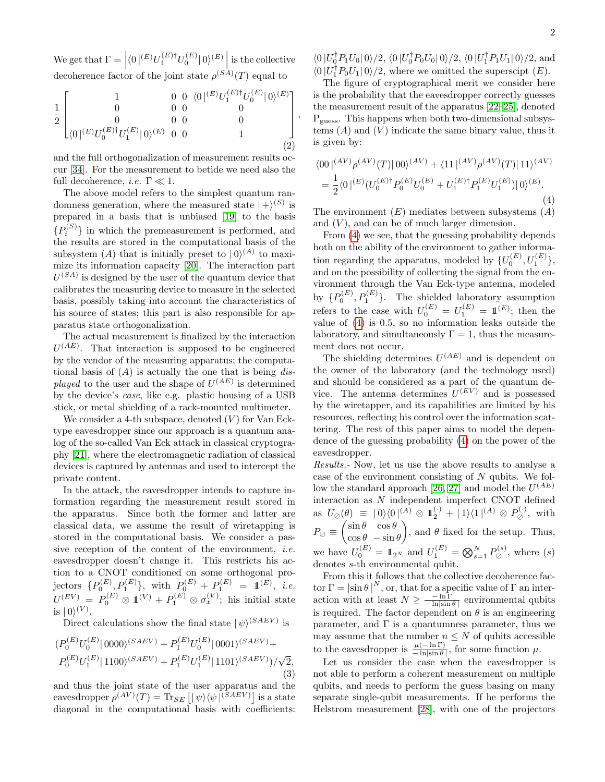We get that  $\Gamma = \left| \langle 0 |^{(E)} U_1^{(E) \dagger} U_0^{(E)} | 0 \rangle^{(E)} \right|$  is the collective decoherence factor of the joint state  $\rho^{(SA)}(T)$  equal to

$$
\frac{1}{2} \begin{bmatrix} 1 & 0 & 0 & \langle 0 |^{(E)}U_1^{(E)\dagger}U_0^{(E)} | 0 \rangle^{(E)} \\ 0 & 0 & 0 & 0 \\ 0 & 0 & 0 & 0 \\ \langle 0 |^{(E)}U_0^{(E)\dagger}U_1^{(E)} | 0 \rangle^{(E)} & 0 & 0 & 1 \end{bmatrix},
$$
\n(2)

and the full orthogonalization of measurement results occur [\[34\]](#page-4-14). For the measurement to betide we need also the full decoherence, *i.e.*  $\Gamma \ll 1$ .

The above model refers to the simplest quantum randomness generation, where the measured state  $|+\rangle^{(S)}$  is prepared in a basis that is unbiased [\[19\]](#page-4-15) to the basis  ${P_i^{(S)}}$  in which the premeasurement is performed, and the results are stored in the computational basis of the subsystem (A) that is initially preset to  $|0\rangle^{(A)}$  to maximize its information capacity [\[20\]](#page-4-16). The interaction part  $U^{(SA)}$  is designed by the user of the quantum device that calibrates the measuring device to measure in the selected basis, possibly taking into account the characteristics of his source of states; this part is also responsible for apparatus state orthogonalization.

The actual measurement is finalized by the interaction  $U^{(AE)}$ . That interaction is supposed to be engineered by the vendor of the measuring apparatus; the computational basis of  $(A)$  is actually the one that is being *dis*played to the user and the shape of  $U^{(AE)}$  is determined by the device's case, like e.g. plastic housing of a USB stick, or metal shielding of a rack-mounted multimeter.

We consider a 4-th subspace, denoted  $(V)$  for Van Ecktype eavesdropper since our approach is a quantum analog of the so-called Van Eck attack in classical cryptography [\[21\]](#page-4-17), where the electromagnetic radiation of classical devices is captured by antennas and used to intercept the private content.

In the attack, the eavesdropper intends to capture information regarding the measurement result stored in the apparatus. Since both the former and latter are classical data, we assume the result of wiretapping is stored in the computational basis. We consider a passive reception of the content of the environment, i.e. eavesdropper doesn't change it. This restricts his action to a CNOT conditioned on some orthogonal projectors  $\{P_0^{(E)}, P_1^{(E)}\}$ , with  $P_0^{(E)} + P_1^{(E)} = \mathbb{1}^{(E)}$ , *i.e.*  $U^{(EV)} = P_0^{(E)} \otimes 1 \! \! 1^{(V)} + P_1^{(E)} \otimes \sigma_x^{(V)}$ ; his initial state is  $|0\rangle^{(V)}$ .

Direct calculations show the final state  $|\psi\rangle^{(SAEV)}$  is

$$
(P_0^{(E)}U_0^{(E)}|0000\rangle^{(SAEV)} + P_1^{(E)}U_0^{(E)}|0001\rangle^{(SAEV)} + P_0^{(E)}U_1^{(E)}|1100\rangle^{(SAEV)} + P_1^{(E)}U_1^{(E)}|1101\rangle^{(SAEV)})/\sqrt{2},
$$
\n(3)

and thus the joint state of the user apparatus and the eavesdropper  $\rho^{(AV)}(T) = \text{Tr}_{SE} [|\psi\rangle\langle\psi|^{(SAEV)}]$  is a state diagonal in the computational basis with coefficients:  $\langle 0|U_0^{\dagger}P_1U_0|0\rangle/2, \langle 0|U_0^{\dagger}P_0U_0|0\rangle/2, \langle 0|U_1^{\dagger}P_1U_1|0\rangle/2, \text{ and}$  $\langle 0 | U_1^{\dagger} P_0 U_1 | 0 \rangle / 2$ , where we omitted the superscipt  $(E)$ .

The figure of cryptographical merit we consider here is the probability that the eavesdropper correctly guesses the measurement result of the apparatus [\[22–](#page-4-18)[25\]](#page-4-19), denoted Pguess. This happens when both two-dimensional subsystems  $(A)$  and  $(V)$  indicate the same binary value, thus it is given by:

<span id="page-1-0"></span>
$$
\langle 00 | ^{(AV)} \rho^{(AV)}(T) | 00 \rangle^{(AV)} + \langle 11 | ^{(AV)} \rho^{(AV)}(T) | 11 \rangle^{(AV)} = \frac{1}{2} \langle 0 |^{(E)} (U_0^{(E)\dagger} P_0^{(E)} U_0^{(E)} + U_1^{(E)\dagger} P_1^{(E)} U_1^{(E)}) | 0 \rangle^{(E)}.
$$
\n(4)

The environment  $(E)$  mediates between subsystems  $(A)$ and  $(V)$ , and can be of much larger dimension.

From [\(4\)](#page-1-0) we see, that the guessing probability depends both on the ability of the environment to gather information regarding the apparatus, modeled by  $\{U_0^{(E)}, U_1^{(E)}\}$ , and on the possibility of collecting the signal from the environment through the Van Eck-type antenna, modeled by  $\{P_0^{(E)}, P_1^{(E)}\}$ . The shielded laboratory assumption refers to the case with  $U_0^{(E)} = U_1^{(E)} = 1 \pmod{p}$ ; then the value of [\(4\)](#page-1-0) is 0.5, so no information leaks outside the laboratory, and simultaneously  $\Gamma = 1$ , thus the measurement does not occur.

The shielding determines  $U^{(AE)}$  and is dependent on the owner of the laboratory (and the technology used) and should be considered as a part of the quantum device. The antenna determines  $U^{(EV)}$  and is possessed by the wiretapper, and its capabilities are limited by his resources, reflecting his control over the information scattering. The rest of this paper aims to model the dependence of the guessing probability [\(4\)](#page-1-0) on the power of the eavesdropper.

Results.- Now, let us use the above results to analyse a case of the environment consisting of N qubits. We fol-low the standard approach [\[26,](#page-4-20) [27\]](#page-4-21) and model the  $U^{(AE)}$ interaction as N independent imperfect CNOT defined as  $U_{\oslash}(\theta) \equiv |0\rangle\langle 0|^{(A)} \otimes \mathbb{1}_{2}^{(\cdot)} + |1\rangle\langle 1|^{(A)} \otimes P_{\oslash}^{(\cdot)}$ , with  $P_{\oslash} \equiv \begin{pmatrix} \sin \theta & \cos \theta \\ \cos \theta & \sin \theta \end{pmatrix}$  $\cos\theta - \sin\theta$ ), and  $\theta$  fixed for the setup. Thus, we have  $U_0^{(E)} = \mathbb{1}_{2^N}$  and  $U_1^{(E)} = \bigotimes_{s=1}^{N} P_{\oslash}^{(s)}$ , where  $(s)$ denotes s-th environmental qubit.

From this it follows that the collective decoherence factor  $\Gamma = |\sin \theta|^{N}$ , or, that for a specific value of  $\Gamma$  an interaction with at least  $N \geq \frac{-\ln \Gamma}{-\ln|\sin \theta|}$  environmental qubits is required. The factor dependent on  $\theta$  is an engineering parameter, and  $\Gamma$  is a quantumness parameter, thus we may assume that the number  $n \leq N$  of qubits accessible to the eavesdropper is  $\frac{\mu(-\ln \Gamma)}{-\ln|\sin \theta|}$ , for some function  $\mu$ .

Let us consider the case when the eavesdropper is not able to perform a coherent measurement on multiple qubits, and needs to perform the guess basing on many separate single-qubit measurements. If he performs the Helstrom measurement [\[28\]](#page-4-22), with one of the projectors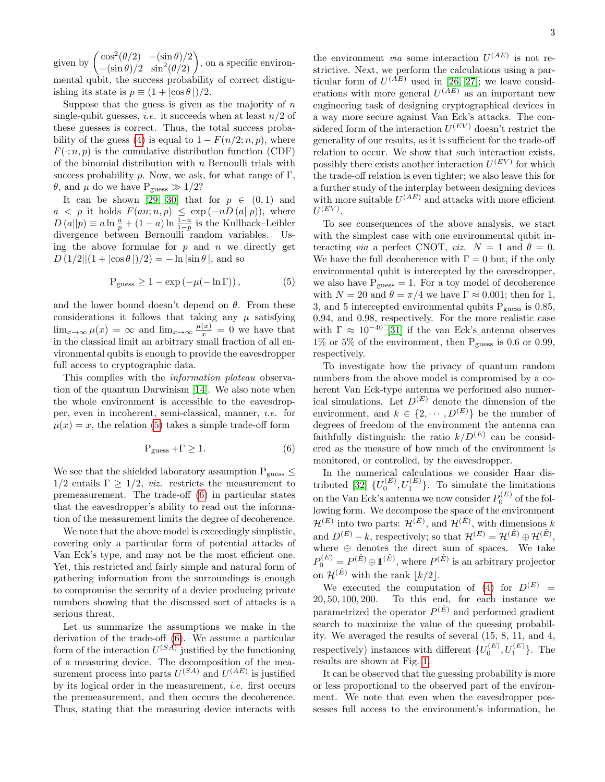given by  $\left( \frac{\cos^2(\theta/2)}{\sin \theta} - \frac{\sin \theta}{2} \right)$  $\frac{\cos^2(\theta/2) - (\sin \theta)/2}{-\sin \theta/2 \sin^2(\theta/2)}$ , on a specific environmental qubit, the success probability of correct distiguishing its state is  $p \equiv (1 + |\cos \theta|)/2$ .

Suppose that the guess is given as the majority of  $n$ single-qubit guesses, *i.e.* it succeeds when at least  $n/2$  of these guesses is correct. Thus, the total success proba-bility of the guess [\(4\)](#page-1-0) is equal to  $1 - F(n/2; n, p)$ , where  $F(\cdot; n, p)$  is the cumulative distribution function (CDF) of the binomial distribution with  $n$  Bernoulli trials with success probability p. Now, we ask, for what range of  $\Gamma$ , θ, and μ do we have  $P_{\text{guess}} \gg 1/2$ ?

It can be shown [\[29,](#page-4-23) [30\]](#page-4-24) that for  $p \in (0,1)$  and  $a < p$  it holds  $F(an; n, p) \leq \exp(-nD(a||p))$ , where  $D(a||p) \equiv a \ln \frac{a}{p} + (1-a) \ln \frac{1-a}{1-p}$  is the Kullback–Leibler divergence between Bernoulli random variables. Using the above formulae for  $p$  and  $n$  we directly get  $D(1/2||(1+|\cos\theta|)/2) = -\ln|\sin\theta|$ , and so

<span id="page-2-0"></span>
$$
P_{\text{guess}} \ge 1 - \exp(-\mu(-\ln \Gamma)), \tag{5}
$$

and the lower bound doesn't depend on  $\theta$ . From these considerations it follows that taking any  $\mu$  satisfying  $\lim_{x\to\infty}\mu(x) = \infty$  and  $\lim_{x\to\infty}\frac{\mu(x)}{x} = 0$  we have that in the classical limit an arbitrary small fraction of all environmental qubits is enough to provide the eavesdropper full access to cryptographic data.

This complies with the *information plateau* observation of the quantum Darwinism [\[14\]](#page-4-9). We also note when the whole environment is accessible to the eavesdropper, even in incoherent, semi-classical, manner, i.e. for  $\mu(x) = x$ , the relation [\(5\)](#page-2-0) takes a simple trade-off form

<span id="page-2-1"></span>
$$
P_{\text{guess}} + \Gamma \ge 1. \tag{6}
$$

We see that the shielded laboratory assumption  $P_{guess}$  $1/2$  entails  $\Gamma \geq 1/2$ , *viz.* restricts the measurement to premeasurement. The trade-off [\(6\)](#page-2-1) in particular states that the eavesdropper's ability to read out the information of the measurement limits the degree of decoherence.

We note that the above model is exceedingly simplistic, covering only a particular form of potential attacks of Van Eck's type, and may not be the most efficient one. Yet, this restricted and fairly simple and natural form of gathering information from the surroundings is enough to compromise the security of a device producing private numbers showing that the discussed sort of attacks is a serious threat.

Let us summarize the assumptions we make in the derivation of the trade-off [\(6\)](#page-2-1). We assume a particular form of the interaction  $U^{(SA)}$  justified by the functioning of a measuring device. The decomposition of the measurement process into parts  $U^{(SA)}$  and  $U^{(AE)}$  is justified by its logical order in the measurement, i.e. first occurs the premeasurement, and then occurs the decoherence. Thus, stating that the measuring device interacts with

3

the environment *via* some interaction  $U^{(AE)}$  is not restrictive. Next, we perform the calculations using a particular form of  $U^{(AE)}$  used in [\[26,](#page-4-20) [27\]](#page-4-21); we leave considerations with more general  $U^{(AE)}$  as an important new engineering task of designing cryptographical devices in a way more secure against Van Eck's attacks. The considered form of the interaction  $U^{(EV)}$  doesn't restrict the generality of our results, as it is sufficient for the trade-off relation to occur. We show that such interaction exists, possibly there exists another interaction  $U^{(EV)}$  for which the trade-off relation is even tighter; we also leave this for a further study of the interplay between designing devices with more suitable  $U^{(AE)}$  and attacks with more efficient  $U^{(EV)}.$ 

To see consequences of the above analysis, we start with the simplest case with one environmental qubit interacting *via* a perfect CNOT, *viz.*  $N = 1$  and  $\theta = 0$ . We have the full decoherence with  $\Gamma = 0$  but, if the only environmental qubit is intercepted by the eavesdropper, we also have  $P_{\text{guess}} = 1$ . For a toy model of decoherence with  $N = 20$  and  $\theta = \pi/4$  we have  $\Gamma \approx 0.001$ ; then for 1, 3, and 5 intercepted environmental qubits  $P_{guess}$  is 0.85, 0.94, and 0.98, respectively. For the more realistic case with  $\Gamma \approx 10^{-40}$  [\[31\]](#page-4-25) if the van Eck's antenna observes 1% or 5% of the environment, then  $P_{guess}$  is 0.6 or 0.99, respectively.

To investigate how the privacy of quantum random numbers from the above model is compromised by a coherent Van Eck-type antenna we performed also numerical simulations. Let  $D^{(E)}$  denote the dimension of the environment, and  $k \in \{2, \cdots, D^{(E)}\}\$ be the number of degrees of freedom of the environment the antenna can faithfully distinguish; the ratio  $k/D^{(E)}$  can be considered as the measure of how much of the environment is monitored, or controlled, by the eavesdropper.

In the numerical calculations we consider Haar dis-tributed [\[32\]](#page-4-26)  $\{U_0^{(E)}, U_1^{(E)}\}$ . To simulate the limitations on the Van Eck's antenna we now consider  $P_0^{(E)}$  of the following form. We decompose the space of the environment  $\mathcal{H}^{(E)}$  into two parts:  $\mathcal{H}^{(\hat{E})}$ , and  $\mathcal{H}^{(\tilde{E})}$ , with dimensions k and  $D^{(E)} - k$ , respectively; so that  $\mathcal{H}^{(E)} = \mathcal{H}^{(\hat{E})} \oplus \mathcal{H}^{(\tilde{E})}$ , where  $\oplus$  denotes the direct sum of spaces. We take  $P_0^{(E)} = P^{(\hat{E})} \oplus \mathbb{1}^{(\tilde{E})}$ , where  $P^{(\hat{E})}$  is an arbitrary projector on  $\mathcal{H}^{(E)}$  with the rank  $|k/2|$ .

We executed the computation of  $(4)$  for  $D^{(E)}$  = 20, 50, 100, 200. To this end, for each instance we parametrized the operator  $P^{(\hat{E})}$  and performed gradient search to maximize the value of the quessing probability. We averaged the results of several (15, 8, 11, and 4, respectively) instances with different  $\{U_0^{(E)}, U_1^{(E)}\}$ . The results are shown at Fig. [1.](#page-3-4)

It can be observed that the guessing probability is more or less proportional to the observed part of the environment. We note that even when the eavesdropper possesses full access to the environment's information, he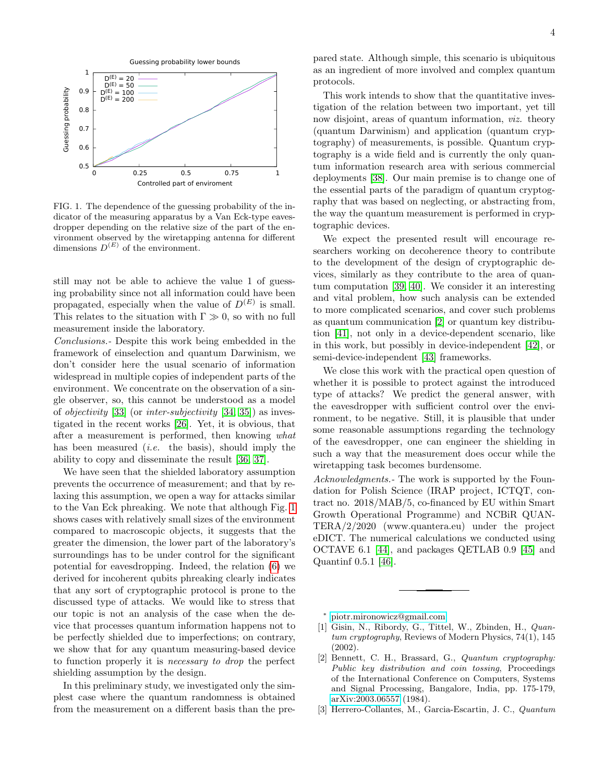

<span id="page-3-4"></span>FIG. 1. The dependence of the guessing probability of the indicator of the measuring apparatus by a Van Eck-type eavesdropper depending on the relative size of the part of the environment observed by the wiretapping antenna for different dimensions  $D^{(E)}$  of the environment.

still may not be able to achieve the value 1 of guessing probability since not all information could have been propagated, especially when the value of  $D^{(E)}$  is small. This relates to the situation with  $\Gamma \gg 0$ , so with no full measurement inside the laboratory.

Conclusions.- Despite this work being embedded in the framework of einselection and quantum Darwinism, we don't consider here the usual scenario of information widespread in multiple copies of independent parts of the environment. We concentrate on the observation of a single observer, so, this cannot be understood as a model of objectivity [\[33\]](#page-4-27) (or inter-subjectivity [\[34,](#page-4-14) [35\]](#page-4-28)) as investigated in the recent works [\[26\]](#page-4-20). Yet, it is obvious, that after a measurement is performed, then knowing what has been measured *(i.e.* the basis), should imply the ability to copy and disseminate the result [\[36,](#page-4-29) [37\]](#page-4-30).

We have seen that the shielded laboratory assumption prevents the occurrence of measurement; and that by relaxing this assumption, we open a way for attacks similar to the Van Eck phreaking. We note that although Fig. [1](#page-3-4) shows cases with relatively small sizes of the environment compared to macroscopic objects, it suggests that the greater the dimension, the lower part of the laboratory's surroundings has to be under control for the significant potential for eavesdropping. Indeed, the relation [\(6\)](#page-2-1) we derived for incoherent qubits phreaking clearly indicates that any sort of cryptographic protocol is prone to the discussed type of attacks. We would like to stress that our topic is not an analysis of the case when the device that processes quantum information happens not to be perfectly shielded due to imperfections; on contrary, we show that for any quantum measuring-based device to function properly it is necessary to drop the perfect shielding assumption by the design.

In this preliminary study, we investigated only the simplest case where the quantum randomness is obtained from the measurement on a different basis than the pre-

pared state. Although simple, this scenario is ubiquitous as an ingredient of more involved and complex quantum protocols.

This work intends to show that the quantitative investigation of the relation between two important, yet till now disjoint, areas of quantum information, viz. theory (quantum Darwinism) and application (quantum cryptography) of measurements, is possible. Quantum cryptography is a wide field and is currently the only quantum information research area with serious commercial deployments [\[38\]](#page-4-31). Our main premise is to change one of the essential parts of the paradigm of quantum cryptography that was based on neglecting, or abstracting from, the way the quantum measurement is performed in cryptographic devices.

We expect the presented result will encourage researchers working on decoherence theory to contribute to the development of the design of cryptographic devices, similarly as they contribute to the area of quantum computation [\[39,](#page-4-32) [40\]](#page-4-33). We consider it an interesting and vital problem, how such analysis can be extended to more complicated scenarios, and cover such problems as quantum communication [\[2\]](#page-3-2) or quantum key distribution [\[41\]](#page-4-34), not only in a device-dependent scenario, like in this work, but possibly in device-independent [\[42\]](#page-4-35), or semi-device-independent [\[43\]](#page-4-36) frameworks.

We close this work with the practical open question of whether it is possible to protect against the introduced type of attacks? We predict the general answer, with the eavesdropper with sufficient control over the environment, to be negative. Still, it is plausible that under some reasonable assumptions regarding the technology of the eavesdropper, one can engineer the shielding in such a way that the measurement does occur while the wiretapping task becomes burdensome.

Acknowledgments.- The work is supported by the Foundation for Polish Science (IRAP project, ICTQT, contract no. 2018/MAB/5, co-financed by EU within Smart Growth Operational Programme) and NCBiR QUAN-TERA/2/2020 (www.quantera.eu) under the project eDICT. The numerical calculations we conducted using OCTAVE 6.1 [\[44\]](#page-4-37), and packages QETLAB 0.9 [\[45\]](#page-4-38) and Quantinf 0.5.1 [\[46\]](#page-4-39).

<span id="page-3-0"></span><sup>∗</sup> [piotr.mironowicz@gmail.com](mailto:piotr.mironowicz@gmail.com)

- <span id="page-3-1"></span>[1] Gisin, N., Ribordy, G., Tittel, W., Zbinden, H., Quantum cryptography, Reviews of Modern Physics, 74(1), 145 (2002).
- <span id="page-3-2"></span>[2] Bennett, C. H., Brassard, G., Quantum cryptography: Public key distribution and coin tossing, Proceedings of the International Conference on Computers, Systems and Signal Processing, Bangalore, India, pp. 175-179, [arXiv:2003.06557](http://arxiv.org/abs/2003.06557) (1984).
- <span id="page-3-3"></span>[3] Herrero-Collantes, M., Garcia-Escartin, J. C., Quantum